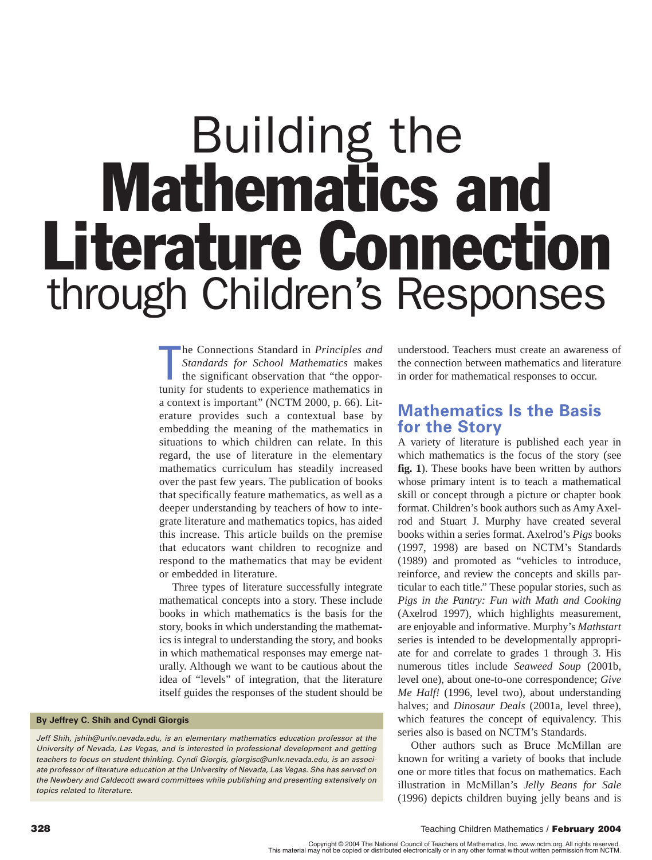# Building the Mathematics and Literature Connection through Children's Responses

The Connections Standard in Principles and Standards for School Mathematics makes<br>the significant observation that "the oppor-<br>tunity for students to experience mathematics in he Connections Standard in *Principles and Standards for School Mathematics* makes the significant observation that "the oppora context is important" (NCTM 2000, p. 66). Literature provides such a contextual base by embedding the meaning of the mathematics in situations to which children can relate. In this regard, the use of literature in the elementary mathematics curriculum has steadily increased over the past few years. The publication of books that specifically feature mathematics, as well as a deeper understanding by teachers of how to integrate literature and mathematics topics, has aided this increase. This article builds on the premise that educators want children to recognize and respond to the mathematics that may be evident or embedded in literature.

Three types of literature successfully integrate mathematical concepts into a story. These include books in which mathematics is the basis for the story, books in which understanding the mathematics is integral to understanding the story, and books in which mathematical responses may emerge naturally. Although we want to be cautious about the idea of "levels" of integration, that the literature itself guides the responses of the student should be

#### **By Jeffrey C. Shih and Cyndi Giorgis**

*Jeff Shih, jshih@unlv.nevada.edu, is an elementary mathematics education professor at the University of Nevada, Las Vegas, and is interested in professional development and getting teachers to focus on student thinking. Cyndi Giorgis, giorgisc@unlv.nevada.edu, is an associate professor of literature education at the University of Nevada, Las Vegas. She has served on the Newbery and Caldecott award committees while publishing and presenting extensively on topics related to literature.*

understood. Teachers must create an awareness of the connection between mathematics and literature in order for mathematical responses to occur.

# **Mathematics Is the Basis for the Story**

A variety of literature is published each year in which mathematics is the focus of the story (see **fig. 1**). These books have been written by authors whose primary intent is to teach a mathematical skill or concept through a picture or chapter book format. Children's book authors such as Amy Axelrod and Stuart J. Murphy have created several books within a series format. Axelrod's *Pigs* books (1997, 1998) are based on NCTM's Standards (1989) and promoted as "vehicles to introduce, reinforce, and review the concepts and skills particular to each title." These popular stories, such as *Pigs in the Pantry: Fun with Math and Cooking* (Axelrod 1997), which highlights measurement, are enjoyable and informative. Murphy's *Mathstart* series is intended to be developmentally appropriate for and correlate to grades 1 through 3. His numerous titles include *Seaweed Soup* (2001b, level one), about one-to-one correspondence; *Give Me Half!* (1996, level two), about understanding halves; and *Dinosaur Deals* (2001a, level three), which features the concept of equivalency. This series also is based on NCTM's Standards.

Other authors such as Bruce McMillan are known for writing a variety of books that include one or more titles that focus on mathematics. Each illustration in McMillan's *Jelly Beans for Sale* (1996) depicts children buying jelly beans and is

#### **328** Teaching Children Mathematics / **February 2004**

 This material may not be copied or distributed electronically or in any other format without written permission from NCTM. Copyright © 2004 The National Council of Teachers of Mathematics, Inc. www.nctm.org. All rights reserved.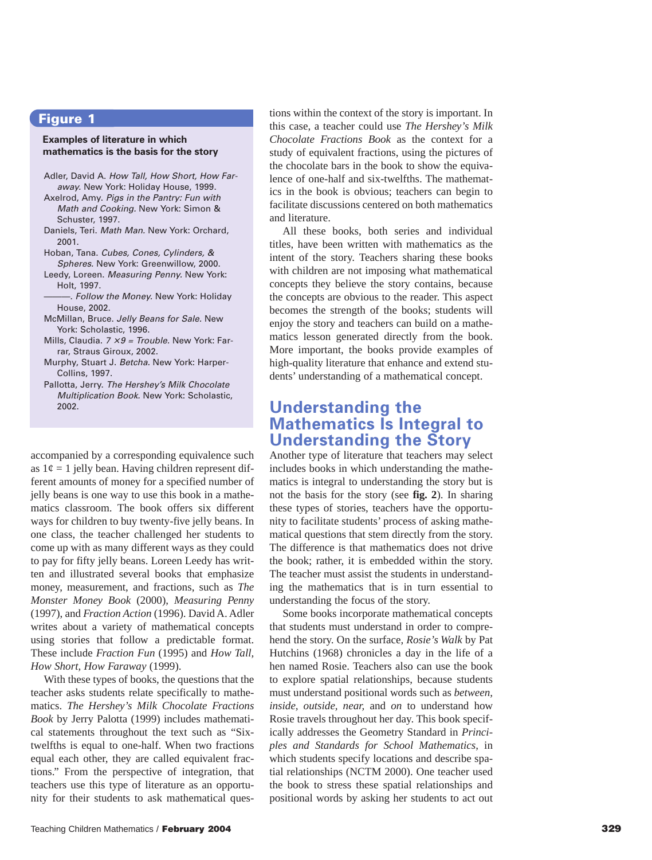#### **Figure 1**

#### **Examples of literature in which mathematics is the basis for the story**

- Adler, David A. *How Tall, How Short, How Faraway.* New York: Holiday House, 1999. Axelrod, Amy. *Pigs in the Pantry: Fun with*
- *Math and Cooking.* New York: Simon & Schuster, 1997.
- Daniels, Teri. *Math Man.* New York: Orchard, 2001.
- Hoban, Tana. *Cubes, Cones, Cylinders, & Spheres.* New York: Greenwillow, 2000.
- Leedy, Loreen. *Measuring Penny.* New York: Holt, 1997.
- ———. *Follow the Money.* New York: Holiday House, 2002.
- McMillan, Bruce. *Jelly Beans for Sale.* New York: Scholastic, 1996.
- Mills, Claudia. *7*  × *9 = Trouble.* New York: Farrar, Straus Giroux, 2002.
- Murphy, Stuart J. *Betcha.* New York: Harper-Collins, 1997.
- Pallotta, Jerry. *The Hershey's Milk Chocolate Multiplication Book.* New York: Scholastic, 2002.

accompanied by a corresponding equivalence such as  $1¢ = 1$  jelly bean. Having children represent different amounts of money for a specified number of jelly beans is one way to use this book in a mathematics classroom. The book offers six different ways for children to buy twenty-five jelly beans. In one class, the teacher challenged her students to come up with as many different ways as they could to pay for fifty jelly beans. Loreen Leedy has written and illustrated several books that emphasize money, measurement, and fractions, such as *The Monster Money Book* (2000), *Measuring Penny* (1997), and *Fraction Action* (1996). David A. Adler writes about a variety of mathematical concepts using stories that follow a predictable format. These include *Fraction Fun* (1995) and *How Tall, How Short, How Faraway* (1999).

With these types of books, the questions that the teacher asks students relate specifically to mathematics. *The Hershey's Milk Chocolate Fractions Book* by Jerry Palotta (1999) includes mathematical statements throughout the text such as "Sixtwelfths is equal to one-half. When two fractions equal each other, they are called equivalent fractions." From the perspective of integration, that teachers use this type of literature as an opportunity for their students to ask mathematical questions within the context of the story is important. In this case, a teacher could use *The Hershey's Milk Chocolate Fractions Book* as the context for a study of equivalent fractions, using the pictures of the chocolate bars in the book to show the equivalence of one-half and six-twelfths. The mathematics in the book is obvious; teachers can begin to facilitate discussions centered on both mathematics and literature.

All these books, both series and individual titles, have been written with mathematics as the intent of the story. Teachers sharing these books with children are not imposing what mathematical concepts they believe the story contains, because the concepts are obvious to the reader. This aspect becomes the strength of the books; students will enjoy the story and teachers can build on a mathematics lesson generated directly from the book. More important, the books provide examples of high-quality literature that enhance and extend students' understanding of a mathematical concept.

# **Understanding the Mathematics Is Integral to Understanding the Story**

Another type of literature that teachers may select includes books in which understanding the mathematics is integral to understanding the story but is not the basis for the story (see **fig. 2**). In sharing these types of stories, teachers have the opportunity to facilitate students' process of asking mathematical questions that stem directly from the story. The difference is that mathematics does not drive the book; rather, it is embedded within the story. The teacher must assist the students in understanding the mathematics that is in turn essential to understanding the focus of the story.

Some books incorporate mathematical concepts that students must understand in order to comprehend the story. On the surface, *Rosie's Walk* by Pat Hutchins (1968) chronicles a day in the life of a hen named Rosie. Teachers also can use the book to explore spatial relationships, because students must understand positional words such as *between, inside, outside, near,* and *on* to understand how Rosie travels throughout her day. This book specifically addresses the Geometry Standard in *Principles and Standards for School Mathematics*, in which students specify locations and describe spatial relationships (NCTM 2000). One teacher used the book to stress these spatial relationships and positional words by asking her students to act out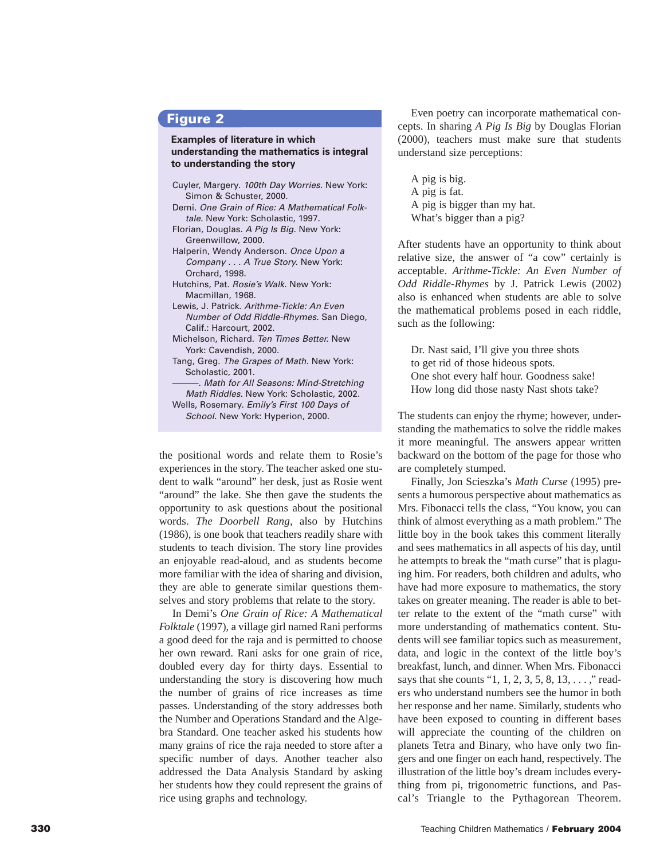### **Figure 2**

#### **Examples of literature in which understanding the mathematics is integral to understanding the story**

| Cuyler, Margery. 100th Day Worries. New York:<br>Simon & Schuster, 2000.           |
|------------------------------------------------------------------------------------|
| Demi, One Grain of Rice: A Mathematical Folk-<br>tale. New York: Scholastic, 1997. |
| Florian, Douglas. A Pig Is Big. New York:<br>Greenwillow, 2000.                    |
| Halperin, Wendy Anderson. Once Upon a                                              |
| Company A True Story. New York:                                                    |
| Orchard, 1998.                                                                     |
| Hutchins, Pat. Rosie's Walk. New York:                                             |
| Macmillan, 1968.                                                                   |
| Lewis, J. Patrick. Arithme-Tickle: An Even                                         |
| Number of Odd Riddle-Rhymes. San Diego,                                            |
| Calif.: Harcourt, 2002.                                                            |
| Michelson, Richard. Ten Times Better. New                                          |
| York: Cavendish, 2000.                                                             |
| Tang, Greg. The Grapes of Math. New York:                                          |
| Scholastic, 2001.                                                                  |
| —. Math for All Seasons: Mind-Stretching                                           |
| Math Riddles. New York: Scholastic, 2002.                                          |
| Wells, Rosemary. Emily's First 100 Days of                                         |
| <i>School.</i> New York: Hyperion, 2000.                                           |
|                                                                                    |

the positional words and relate them to Rosie's experiences in the story. The teacher asked one student to walk "around" her desk, just as Rosie went "around" the lake. She then gave the students the opportunity to ask questions about the positional words. *The Doorbell Rang*, also by Hutchins (1986), is one book that teachers readily share with students to teach division. The story line provides an enjoyable read-aloud, and as students become more familiar with the idea of sharing and division, they are able to generate similar questions themselves and story problems that relate to the story.

In Demi's *One Grain of Rice: A Mathematical Folktale* (1997), a village girl named Rani performs a good deed for the raja and is permitted to choose her own reward. Rani asks for one grain of rice, doubled every day for thirty days. Essential to understanding the story is discovering how much the number of grains of rice increases as time passes. Understanding of the story addresses both the Number and Operations Standard and the Algebra Standard. One teacher asked his students how many grains of rice the raja needed to store after a specific number of days. Another teacher also addressed the Data Analysis Standard by asking her students how they could represent the grains of rice using graphs and technology.

Even poetry can incorporate mathematical concepts. In sharing *A Pig Is Big* by Douglas Florian (2000), teachers must make sure that students understand size perceptions:

A pig is big. A pig is fat. A pig is bigger than my hat. What's bigger than a pig?

After students have an opportunity to think about relative size, the answer of "a cow" certainly is acceptable. *Arithme-Tickle: An Even Number of Odd Riddle-Rhymes* by J. Patrick Lewis (2002) also is enhanced when students are able to solve the mathematical problems posed in each riddle, such as the following:

Dr. Nast said, I'll give you three shots to get rid of those hideous spots. One shot every half hour. Goodness sake! How long did those nasty Nast shots take?

The students can enjoy the rhyme; however, understanding the mathematics to solve the riddle makes it more meaningful. The answers appear written backward on the bottom of the page for those who are completely stumped.

Finally, Jon Scieszka's *Math Curse* (1995) presents a humorous perspective about mathematics as Mrs. Fibonacci tells the class, "You know, you can think of almost everything as a math problem." The little boy in the book takes this comment literally and sees mathematics in all aspects of his day, until he attempts to break the "math curse" that is plaguing him. For readers, both children and adults, who have had more exposure to mathematics, the story takes on greater meaning. The reader is able to better relate to the extent of the "math curse" with more understanding of mathematics content. Students will see familiar topics such as measurement, data, and logic in the context of the little boy's breakfast, lunch, and dinner. When Mrs. Fibonacci says that she counts "1, 1, 2, 3, 5, 8, 13, . . . ," readers who understand numbers see the humor in both her response and her name. Similarly, students who have been exposed to counting in different bases will appreciate the counting of the children on planets Tetra and Binary, who have only two fingers and one finger on each hand, respectively. The illustration of the little boy's dream includes everything from pi, trigonometric functions, and Pascal's Triangle to the Pythagorean Theorem.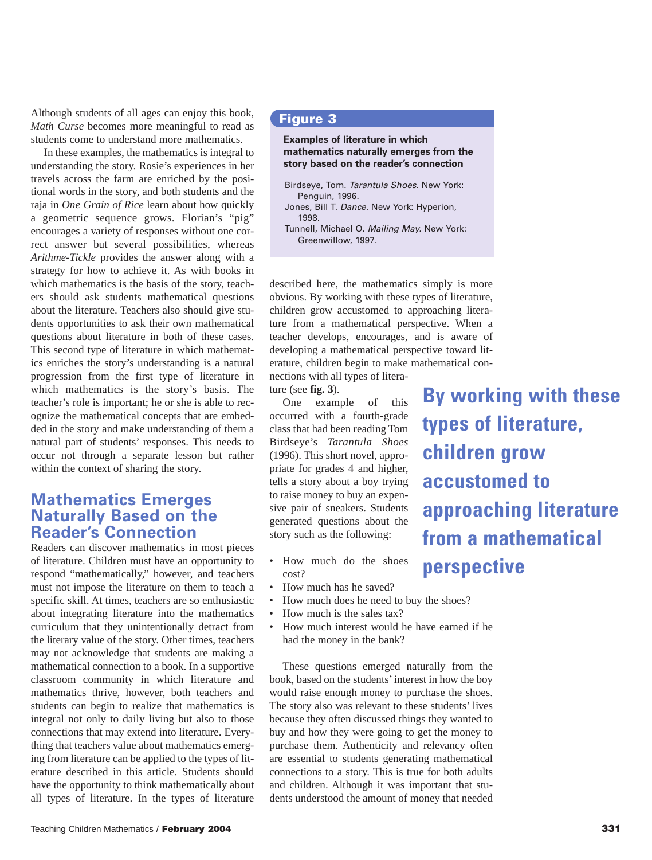Although students of all ages can enjoy this book, *Math Curse* becomes more meaningful to read as students come to understand more mathematics.

In these examples, the mathematics is integral to understanding the story. Rosie's experiences in her travels across the farm are enriched by the positional words in the story, and both students and the raja in *One Grain of Rice* learn about how quickly a geometric sequence grows. Florian's "pig" encourages a variety of responses without one correct answer but several possibilities, whereas *Arithme-Tickle* provides the answer along with a strategy for how to achieve it. As with books in which mathematics is the basis of the story, teachers should ask students mathematical questions about the literature. Teachers also should give students opportunities to ask their own mathematical questions about literature in both of these cases. This second type of literature in which mathematics enriches the story's understanding is a natural progression from the first type of literature in which mathematics is the story's basis. The teacher's role is important; he or she is able to recognize the mathematical concepts that are embedded in the story and make understanding of them a natural part of students' responses. This needs to occur not through a separate lesson but rather within the context of sharing the story.

## **Mathematics Emerges Naturally Based on the Reader's Connection**

Readers can discover mathematics in most pieces of literature. Children must have an opportunity to respond "mathematically," however, and teachers must not impose the literature on them to teach a specific skill. At times, teachers are so enthusiastic about integrating literature into the mathematics curriculum that they unintentionally detract from the literary value of the story. Other times, teachers may not acknowledge that students are making a mathematical connection to a book. In a supportive classroom community in which literature and mathematics thrive, however, both teachers and students can begin to realize that mathematics is integral not only to daily living but also to those connections that may extend into literature. Everything that teachers value about mathematics emerging from literature can be applied to the types of literature described in this article. Students should have the opportunity to think mathematically about all types of literature. In the types of literature

#### **Figure 3**

#### **Examples of literature in which mathematics naturally emerges from the story based on the reader's connection**

- Birdseye, Tom. *Tarantula Shoes.* New York: Penguin, 1996. Jones, Bill T. *Dance.* New York: Hyperion,
- 1998. Tunnell, Michael O. *Mailing May.* New York:
- Greenwillow, 1997.

described here, the mathematics simply is more obvious. By working with these types of literature, children grow accustomed to approaching literature from a mathematical perspective. When a teacher develops, encourages, and is aware of developing a mathematical perspective toward literature, children begin to make mathematical connections with all types of litera-

ture (see **fig. 3**).

One example of this occurred with a fourth-grade class that had been reading Tom Birdseye's *Tarantula Shoes* (1996). This short novel, appropriate for grades 4 and higher, tells a story about a boy trying to raise money to buy an expensive pair of sneakers. Students generated questions about the story such as the following:

- How much do the shoes cost?
- How much has he saved?
- How much does he need to buy the shoes?
- How much is the sales tax?
- How much interest would he have earned if he had the money in the bank?

These questions emerged naturally from the book, based on the students' interest in how the boy would raise enough money to purchase the shoes. The story also was relevant to these students' lives because they often discussed things they wanted to buy and how they were going to get the money to purchase them. Authenticity and relevancy often are essential to students generating mathematical connections to a story. This is true for both adults and children. Although it was important that students understood the amount of money that needed

**By working with these types of literature, children grow accustomed to approaching literature from a mathematical perspective**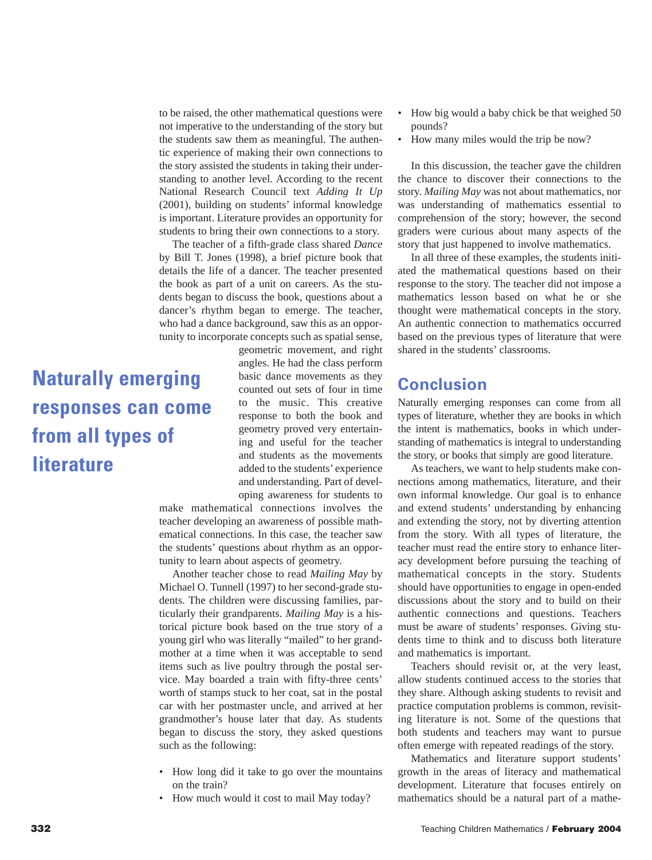to be raised, the other mathematical questions were not imperative to the understanding of the story but the students saw them as meaningful. The authentic experience of making their own connections to the story assisted the students in taking their understanding to another level. According to the recent National Research Council text *Adding It Up* (2001), building on students' informal knowledge is important. Literature provides an opportunity for students to bring their own connections to a story.

The teacher of a fifth-grade class shared *Dance* by Bill T. Jones (1998), a brief picture book that details the life of a dancer. The teacher presented the book as part of a unit on careers. As the students began to discuss the book, questions about a dancer's rhythm began to emerge. The teacher, who had a dance background, saw this as an opportunity to incorporate concepts such as spatial sense,

# **Naturally emerging responses can come from all types of literature**

geometric movement, and right angles. He had the class perform basic dance movements as they counted out sets of four in time to the music. This creative response to both the book and geometry proved very entertaining and useful for the teacher and students as the movements added to the students' experience and understanding. Part of developing awareness for students to

make mathematical connections involves the teacher developing an awareness of possible mathematical connections. In this case, the teacher saw the students' questions about rhythm as an opportunity to learn about aspects of geometry.

Another teacher chose to read *Mailing May* by Michael O. Tunnell (1997) to her second-grade students. The children were discussing families, particularly their grandparents. *Mailing May* is a historical picture book based on the true story of a young girl who was literally "mailed" to her grandmother at a time when it was acceptable to send items such as live poultry through the postal service. May boarded a train with fifty-three cents' worth of stamps stuck to her coat, sat in the postal car with her postmaster uncle, and arrived at her grandmother's house later that day. As students began to discuss the story, they asked questions such as the following:

- How long did it take to go over the mountains on the train?
- How much would it cost to mail May today?
- How big would a baby chick be that weighed 50 pounds?
- How many miles would the trip be now?

In this discussion, the teacher gave the children the chance to discover their connections to the story. *Mailing May* was not about mathematics, nor was understanding of mathematics essential to comprehension of the story; however, the second graders were curious about many aspects of the story that just happened to involve mathematics.

In all three of these examples, the students initiated the mathematical questions based on their response to the story. The teacher did not impose a mathematics lesson based on what he or she thought were mathematical concepts in the story. An authentic connection to mathematics occurred based on the previous types of literature that were shared in the students' classrooms.

# **Conclusion**

Naturally emerging responses can come from all types of literature, whether they are books in which the intent is mathematics, books in which understanding of mathematics is integral to understanding the story, or books that simply are good literature.

As teachers, we want to help students make connections among mathematics, literature, and their own informal knowledge. Our goal is to enhance and extend students' understanding by enhancing and extending the story, not by diverting attention from the story. With all types of literature, the teacher must read the entire story to enhance literacy development before pursuing the teaching of mathematical concepts in the story. Students should have opportunities to engage in open-ended discussions about the story and to build on their authentic connections and questions. Teachers must be aware of students' responses. Giving students time to think and to discuss both literature and mathematics is important.

Teachers should revisit or, at the very least, allow students continued access to the stories that they share. Although asking students to revisit and practice computation problems is common, revisiting literature is not. Some of the questions that both students and teachers may want to pursue often emerge with repeated readings of the story.

Mathematics and literature support students' growth in the areas of literacy and mathematical development. Literature that focuses entirely on mathematics should be a natural part of a mathe